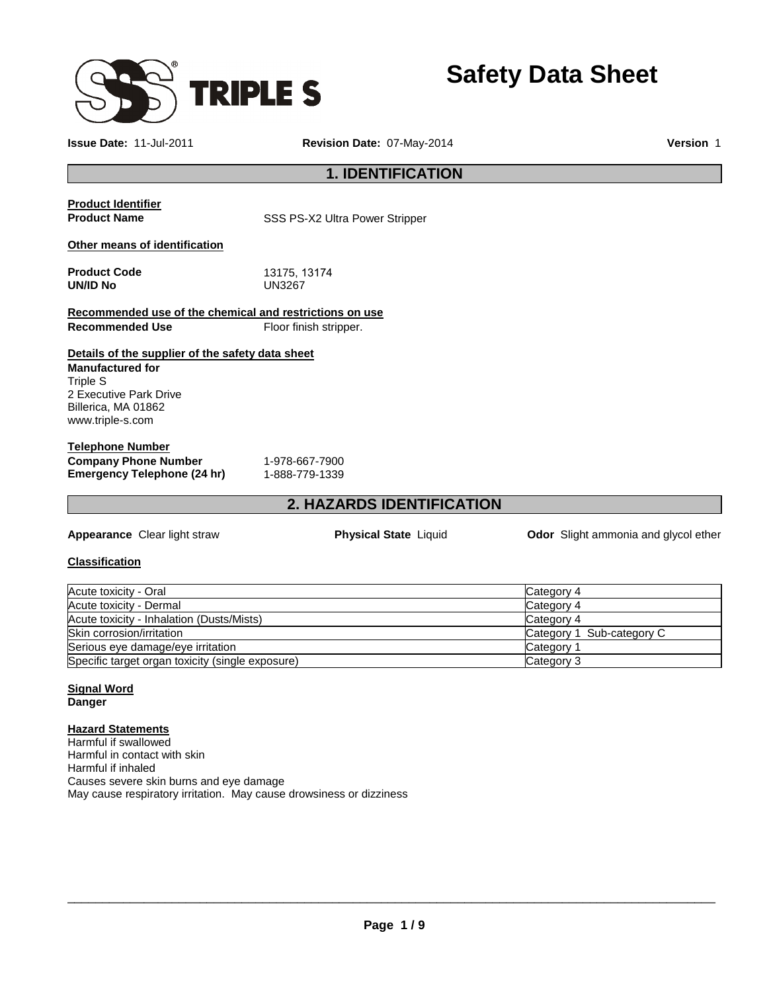

**Safety Data Sheet** 

**Issue Date:** 11-Jul-2011 **Revision Date:** 07-May-2014 **Version** 1

## **1. IDENTIFICATION**

# **Product Identifier**

**Product Name SSS PS-X2 Ultra Power Stripper** 

**Product Code** 13175, 13174

#### **Other means of identification**

| <b>Product Code</b> | 13175.1 |
|---------------------|---------|
| UN/ID No            | UN3267  |

|                        | Recommended use of the chemical and restrictions on use |
|------------------------|---------------------------------------------------------|
| <b>Recommended Use</b> | Floor finish stripper.                                  |

## **Details of the supplier of the safety data sheet**

**Manufactured for** Triple S 2 Executive Park Drive Billerica, MA 01862 www.triple-s.com

#### **Telephone Number Company Phone Number** 1-978-667-7900<br> **Emergency Telephone (24 hr)** 1-888-779-1339 **Emergency Telephone (24 hr)**

## **2. HAZARDS IDENTIFICATION**

**Appearance** Clear light straw **Physical State** Liquid **Odor** Slight ammonia and glycol ether

#### **Classification**

| Acute toxicity - Oral                            | Category 4                |
|--------------------------------------------------|---------------------------|
| Acute toxicity - Dermal                          | Category 4                |
| Acute toxicity - Inhalation (Dusts/Mists)        | Category 4                |
| Skin corrosion/irritation                        | Category 1 Sub-category C |
| Serious eye damage/eye irritation                | Category                  |
| Specific target organ toxicity (single exposure) | Category 3                |

## **Signal Word**

**Danger** 

#### **Hazard Statements**

Harmful if swallowed Harmful in contact with skin Harmful if inhaled Causes severe skin burns and eye damage May cause respiratory irritation. May cause drowsiness or dizziness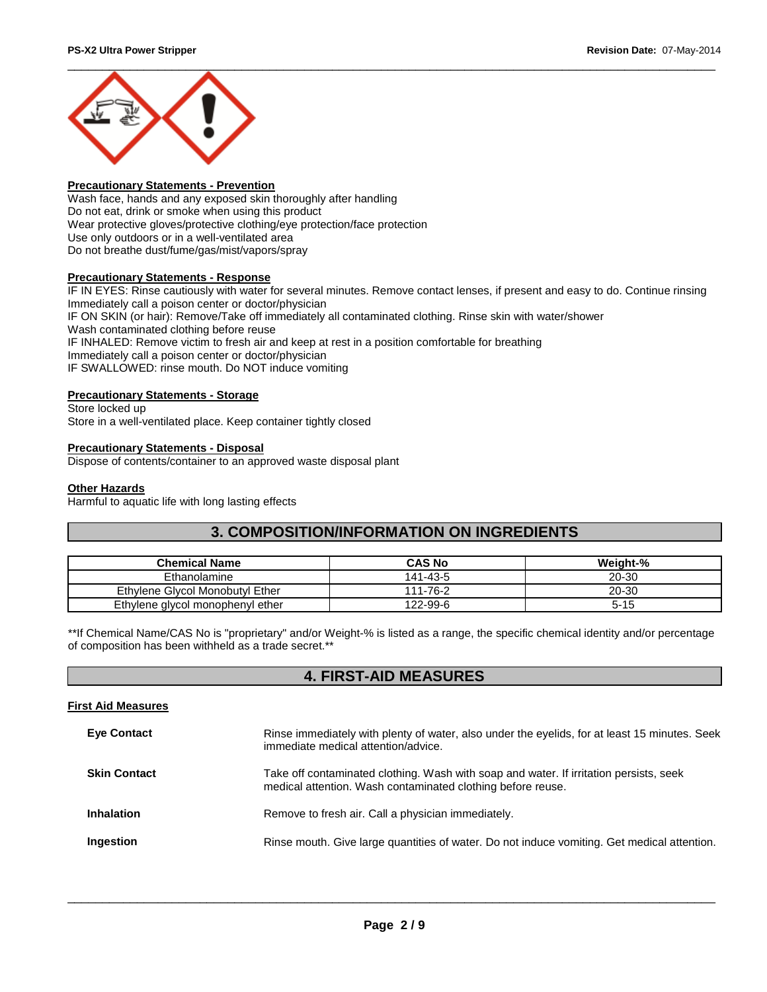

#### **Precautionary Statements - Prevention**

Wash face, hands and any exposed skin thoroughly after handling Do not eat, drink or smoke when using this product Wear protective gloves/protective clothing/eye protection/face protection Use only outdoors or in a well-ventilated area Do not breathe dust/fume/gas/mist/vapors/spray

#### **Precautionary Statements - Response**

IF IN EYES: Rinse cautiously with water for several minutes. Remove contact lenses, if present and easy to do. Continue rinsing Immediately call a poison center or doctor/physician IF ON SKIN (or hair): Remove/Take off immediately all contaminated clothing. Rinse skin with water/shower Wash contaminated clothing before reuse IF INHALED: Remove victim to fresh air and keep at rest in a position comfortable for breathing Immediately call a poison center or doctor/physician IF SWALLOWED: rinse mouth. Do NOT induce vomiting

#### **Precautionary Statements - Storage**

Store locked up Store in a well-ventilated place. Keep container tightly closed

#### **Precautionary Statements - Disposal**

Dispose of contents/container to an approved waste disposal plant

#### **Other Hazards**

Harmful to aquatic life with long lasting effects

## **3. COMPOSITION/INFORMATION ON INGREDIENTS**

| <b>Chemical Name</b>             | CAS No   | Weight-% |
|----------------------------------|----------|----------|
| Ethanolamine                     | 141-43-5 | 20-30    |
| Ethylene Givcol Monobutyl Ether  | 111-76-2 | 20-30    |
| Ethylene glycol monophenyl ether | 122-99-6 | $5 - 15$ |

\*\*If Chemical Name/CAS No is "proprietary" and/or Weight-% is listed as a range, the specific chemical identity and/or percentage of composition has been withheld as a trade secret.\*\*

## **4. FIRST-AID MEASURES**

#### **First Aid Measures**

| <b>Eye Contact</b>  | Rinse immediately with plenty of water, also under the eyelids, for at least 15 minutes. Seek<br>immediate medical attention/advice.                  |
|---------------------|-------------------------------------------------------------------------------------------------------------------------------------------------------|
| <b>Skin Contact</b> | Take off contaminated clothing. Wash with soap and water. If irritation persists, seek<br>medical attention. Wash contaminated clothing before reuse. |
| <b>Inhalation</b>   | Remove to fresh air. Call a physician immediately.                                                                                                    |
| Ingestion           | Rinse mouth. Give large quantities of water. Do not induce vomiting. Get medical attention.                                                           |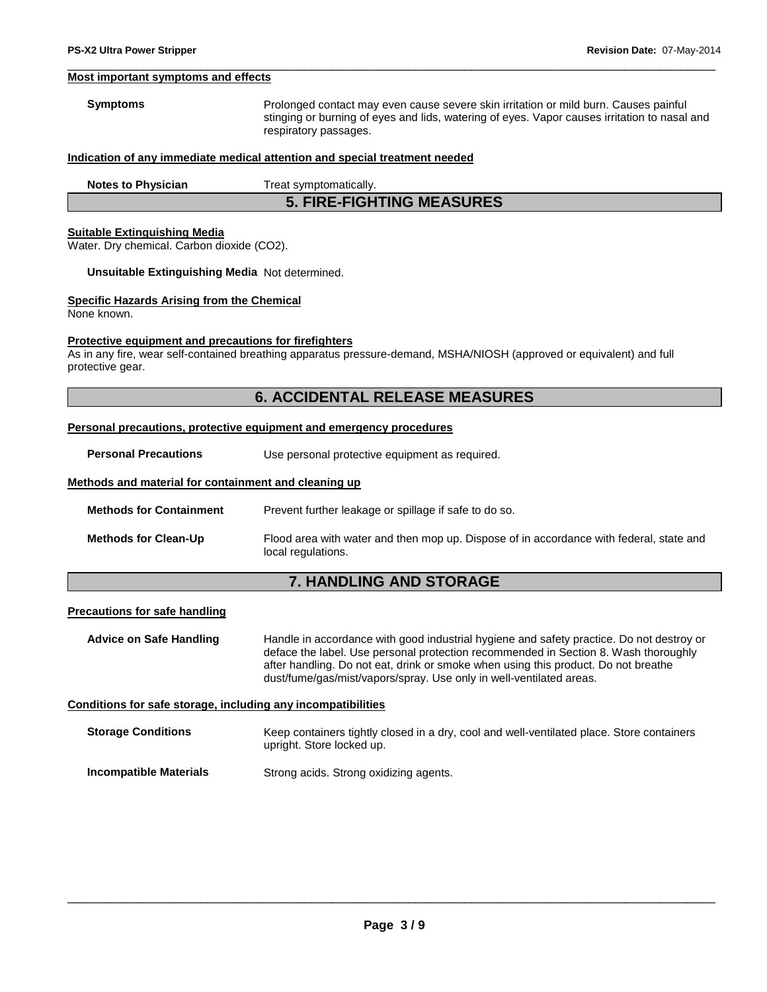#### **Most important symptoms and effects**

**Symptoms** Prolonged contact may even cause severe skin irritation or mild burn. Causes painful stinging or burning of eyes and lids, watering of eyes. Vapor causes irritation to nasal and respiratory passages.

#### **Indication of any immediate medical attention and special treatment needed**

|  | <b>Notes to Physician</b> |
|--|---------------------------|
|  |                           |

**Treat symptomatically.** 

**5. FIRE-FIGHTING MEASURES** 

\_\_\_\_\_\_\_\_\_\_\_\_\_\_\_\_\_\_\_\_\_\_\_\_\_\_\_\_\_\_\_\_\_\_\_\_\_\_\_\_\_\_\_\_\_\_\_\_\_\_\_\_\_\_\_\_\_\_\_\_\_\_\_\_\_\_\_\_\_\_\_\_\_\_\_\_\_\_\_\_\_\_\_\_\_\_\_\_\_\_\_\_\_

#### **Suitable Extinguishing Media**

Water. Dry chemical. Carbon dioxide (CO2).

#### **Unsuitable Extinguishing Media** Not determined.

#### **Specific Hazards Arising from the Chemical**

None known.

#### **Protective equipment and precautions for firefighters**

As in any fire, wear self-contained breathing apparatus pressure-demand, MSHA/NIOSH (approved or equivalent) and full protective gear.

## **6. ACCIDENTAL RELEASE MEASURES**

#### **Personal precautions, protective equipment and emergency procedures**

**Personal Precautions Use personal protective equipment as required.** 

#### **Methods and material for containment and cleaning up**

**Methods for Containment** Prevent further leakage or spillage if safe to do so.

**Methods for Clean-Up** Flood area with water and then mop up. Dispose of in accordance with federal, state and local regulations.

## **7. HANDLING AND STORAGE**

#### **Precautions for safe handling**

**Advice on Safe Handling** Handle in accordance with good industrial hygiene and safety practice. Do not destroy or deface the label. Use personal protection recommended in Section 8. Wash thoroughly after handling. Do not eat, drink or smoke when using this product. Do not breathe dust/fume/gas/mist/vapors/spray. Use only in well-ventilated areas.

#### **Conditions for safe storage, including any incompatibilities**

| <b>Storage Conditions</b> | Keep containers tightly closed in a dry, cool and well-ventilated place. Store containers |
|---------------------------|-------------------------------------------------------------------------------------------|
|                           | upright. Store locked up.                                                                 |
|                           |                                                                                           |

## **Incompatible Materials Strong acids. Strong oxidizing agents.**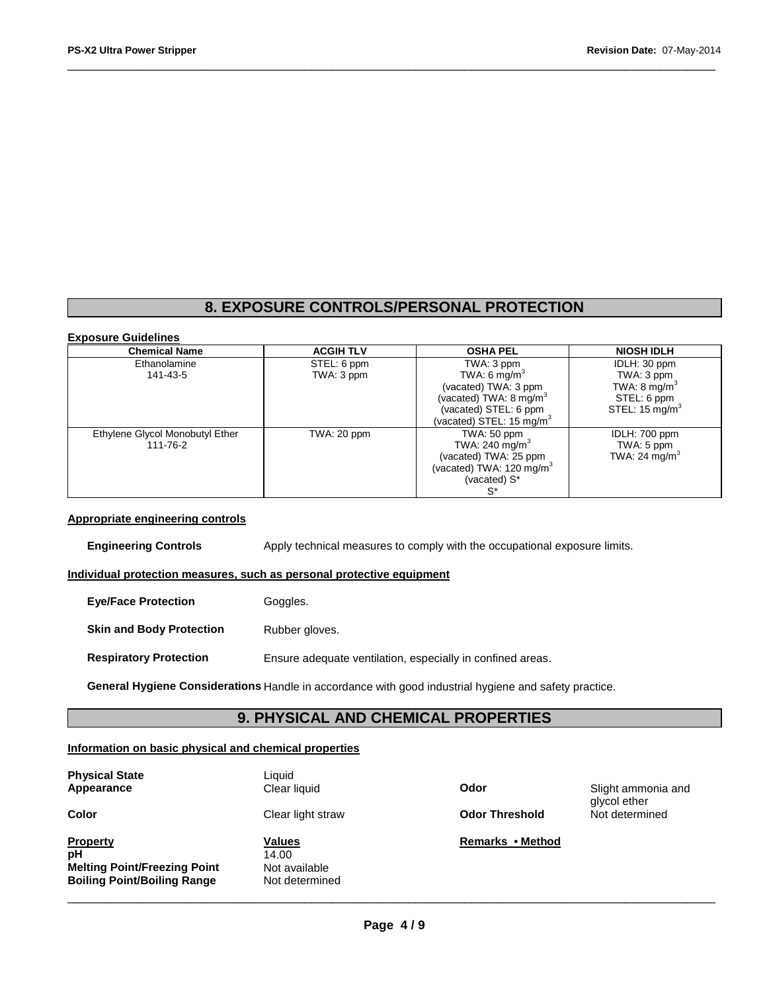# **8. EXPOSURE CONTROLS/PERSONAL PROTECTION**

\_\_\_\_\_\_\_\_\_\_\_\_\_\_\_\_\_\_\_\_\_\_\_\_\_\_\_\_\_\_\_\_\_\_\_\_\_\_\_\_\_\_\_\_\_\_\_\_\_\_\_\_\_\_\_\_\_\_\_\_\_\_\_\_\_\_\_\_\_\_\_\_\_\_\_\_\_\_\_\_\_\_\_\_\_\_\_\_\_\_\_\_\_

#### **Exposure Guidelines**

| <b>Chemical Name</b>            | <b>ACGIH TLV</b> | <b>OSHA PEL</b>             | <b>NIOSH IDLH</b>         |
|---------------------------------|------------------|-----------------------------|---------------------------|
| Ethanolamine                    | STEL: 6 ppm      | TWA: 3 ppm                  | IDLH: 30 ppm              |
| 141-43-5                        | TWA: 3 ppm       | TWA: 6 $mg/m3$              | TWA: 3 ppm                |
|                                 |                  | (vacated) TWA: 3 ppm        | TWA: $8 \text{ mg/m}^3$   |
|                                 |                  | (vacated) TWA: 8 mg/m $3$   | STEL: 6 ppm               |
|                                 |                  | (vacated) STEL: 6 ppm       | STEL: $15 \text{ mg/m}^3$ |
|                                 |                  | (vacated) STEL: 15 mg/m $3$ |                           |
| Ethylene Glycol Monobutyl Ether | TWA: 20 ppm      | TWA: 50 ppm                 | IDLH: 700 ppm             |
| 111-76-2                        |                  | TWA: 240 mg/m <sup>3</sup>  | TWA: 5 ppm                |
|                                 |                  | (vacated) TWA: 25 ppm       | TWA: 24 mg/m <sup>3</sup> |
|                                 |                  | (vacated) TWA: 120 mg/m $3$ |                           |
|                                 |                  | (vacated) S*                |                           |
|                                 |                  | $S^*$                       |                           |

#### **Appropriate engineering controls**

**Engineering Controls Apply technical measures to comply with the occupational exposure limits.** 

#### **Individual protection measures, such as personal protective equipment**

| <b>Eve/Face Protection</b>      | Goggles.                                                   |
|---------------------------------|------------------------------------------------------------|
| <b>Skin and Body Protection</b> | Rubber gloves.                                             |
| <b>Respiratory Protection</b>   | Ensure adequate ventilation, especially in confined areas. |

**General Hygiene Considerations** Handle in accordance with good industrial hygiene and safety practice.

## **9. PHYSICAL AND CHEMICAL PROPERTIES**

#### **Information on basic physical and chemical properties**

| <b>Physical State</b> |  |
|-----------------------|--|
| Appearance            |  |

## **Property Values Values Remarks • Method pH Melting Point/Freezing Point and Not available Boiling Point/Boiling Range And Not determined Boiling Point/Boiling Range**

Liquid

14.00<br>Not available

**Color Clear light straw Clear determined a Clear determined a Clear determined A Clear determined A Clear determined A Clear determined A Clear determined A Clear determined A Clear determined A Clear determined A Clear d** 

**Applement Clear liquid Clear liquid Clear liquid Clear 1 Applement 2 Odor Clear 1 Clear 1 Clear 1 Clear 1 Clear 1 Clear 1 Clear 1 Clear 1 Clear 1 Clear 1 Clear 1 Clear 1 Clear 1 Clear** glycol ether<br>Not determined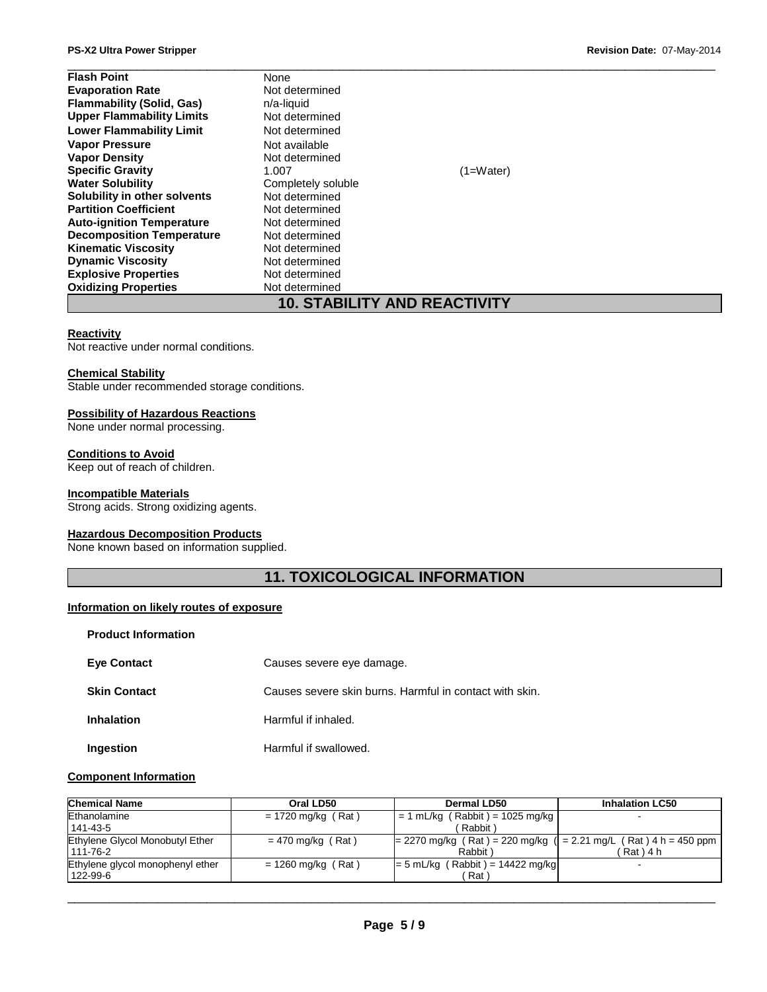| <b>Flash Point</b>                  | None               |             |  |
|-------------------------------------|--------------------|-------------|--|
| <b>Evaporation Rate</b>             | Not determined     |             |  |
| <b>Flammability (Solid, Gas)</b>    | n/a-liquid         |             |  |
| <b>Upper Flammability Limits</b>    | Not determined     |             |  |
| <b>Lower Flammability Limit</b>     | Not determined     |             |  |
| <b>Vapor Pressure</b>               | Not available      |             |  |
| <b>Vapor Density</b>                | Not determined     |             |  |
| <b>Specific Gravity</b>             | 1.007              | $(1=Water)$ |  |
| <b>Water Solubility</b>             | Completely soluble |             |  |
| Solubility in other solvents        | Not determined     |             |  |
| <b>Partition Coefficient</b>        | Not determined     |             |  |
| <b>Auto-ignition Temperature</b>    | Not determined     |             |  |
| <b>Decomposition Temperature</b>    | Not determined     |             |  |
| <b>Kinematic Viscosity</b>          | Not determined     |             |  |
| <b>Dynamic Viscosity</b>            | Not determined     |             |  |
| <b>Explosive Properties</b>         | Not determined     |             |  |
| <b>Oxidizing Properties</b>         | Not determined     |             |  |
| <b>10. STABILITY AND REACTIVITY</b> |                    |             |  |

#### **Reactivity**

Not reactive under normal conditions.

#### **Chemical Stability**

Stable under recommended storage conditions.

#### **Possibility of Hazardous Reactions**

None under normal processing.

#### **Conditions to Avoid**

Keep out of reach of children.

#### **Incompatible Materials**

Strong acids. Strong oxidizing agents.

#### **Hazardous Decomposition Products**

None known based on information supplied.

## **11. TOXICOLOGICAL INFORMATION**

#### **Information on likely routes of exposure**

|  | Product Information |
|--|---------------------|
|--|---------------------|

| <b>Eye Contact</b>  | Causes severe eye damage.                               |
|---------------------|---------------------------------------------------------|
| <b>Skin Contact</b> | Causes severe skin burns. Harmful in contact with skin. |
| <b>Inhalation</b>   | Harmful if inhaled.                                     |
| Ingestion           | Harmful if swallowed.                                   |

#### **Component Information**

| <b>Chemical Name</b>             | Oral LD50            | Dermal LD50                                                          | <b>Inhalation LC50</b> |
|----------------------------------|----------------------|----------------------------------------------------------------------|------------------------|
| Ethanolamine                     | $= 1720$ mg/kg (Rat) | $= 1$ mL/kg (Rabbit) = 1025 mg/kg                                    |                        |
| $141 - 43 - 5$                   |                      | Rabbit)                                                              |                        |
| Ethylene Glycol Monobutyl Ether  | $= 470$ mg/kg (Rat)  | $= 2270$ mg/kg (Rat) = 220 mg/kg ( $= 2.21$ mg/L (Rat) 4 h = 450 ppm |                        |
| 111-76-2                         |                      | Rabbit                                                               | ็Rat ) 4 h             |
| Ethylene glycol monophenyl ether | $= 1260$ mg/kg (Rat) | $= 5$ mL/kg (Rabbit) = 14422 mg/kg                                   |                        |
| 122-99-6                         |                      | Rat                                                                  |                        |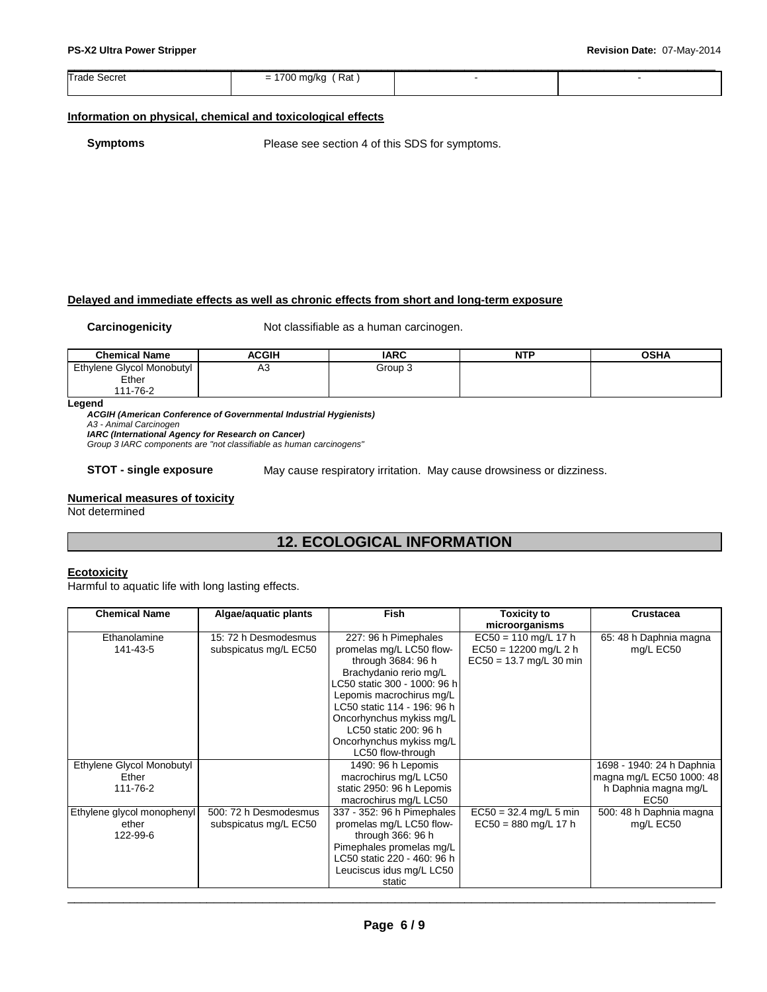| Trade S<br>Secret | Rat<br>1700<br>$\overline{\phantom{0}}$<br>-<br>πu<br>vv |  |
|-------------------|----------------------------------------------------------|--|
|                   |                                                          |  |

#### **Information on physical, chemical and toxicological effects**

**Symptoms** Please see section 4 of this SDS for symptoms.

#### **Delayed and immediate effects as well as chronic effects from short and long-term exposure**

**Carcinogenicity Not classifiable as a human carcinogen.** 

| <b>Chemical Name</b>      | <b>ACGIH</b> | <b>IARC</b> | <b>NTP</b> | <b>OSHA</b> |
|---------------------------|--------------|-------------|------------|-------------|
| Ethylene Glycol Monobutyl | АЗ           | Group 3     |            |             |
| Ether                     |              |             |            |             |
| 11-76-2                   |              |             |            |             |

**Legend** 

**ACGIH (American Conference of Governmental Industrial Hygienists)**  A3 - Animal Carcinogen

**IARC (International Agency for Research on Cancer)** 

Group 3 IARC components are "not classifiable as human carcinogens"

**STOT - single exposure** May cause respiratory irritation. May cause drowsiness or dizziness.

#### **Numerical measures of toxicity**

Not determined

## **12. ECOLOGICAL INFORMATION**

#### **Ecotoxicity**

Harmful to aquatic life with long lasting effects.

| <b>Chemical Name</b>       | Algae/aquatic plants  | <b>Fish</b>                  | <b>Toxicity to</b>        | <b>Crustacea</b>          |
|----------------------------|-----------------------|------------------------------|---------------------------|---------------------------|
|                            |                       |                              | microorganisms            |                           |
| Ethanolamine               | 15: 72 h Desmodesmus  | 227: 96 h Pimephales         | $EC50 = 110$ mg/L 17 h    | 65: 48 h Daphnia magna    |
| 141-43-5                   | subspicatus mg/L EC50 | promelas mg/L LC50 flow-     | $EC50 = 12200$ mg/L 2 h   | mg/L EC50                 |
|                            |                       | through 3684: 96 h           | $EC50 = 13.7$ mg/L 30 min |                           |
|                            |                       | Brachydanio rerio mg/L       |                           |                           |
|                            |                       | LC50 static 300 - 1000: 96 h |                           |                           |
|                            |                       | Lepomis macrochirus mg/L     |                           |                           |
|                            |                       | LC50 static 114 - 196: 96 h  |                           |                           |
|                            |                       | Oncorhynchus mykiss mg/L     |                           |                           |
|                            |                       | LC50 static 200: 96 h        |                           |                           |
|                            |                       | Oncorhynchus mykiss mg/L     |                           |                           |
|                            |                       | LC50 flow-through            |                           |                           |
| Ethylene Glycol Monobutyl  |                       | 1490: 96 h Lepomis           |                           | 1698 - 1940: 24 h Daphnia |
| Ether                      |                       | macrochirus mg/L LC50        |                           | magna mg/L EC50 1000: 48  |
| 111-76-2                   |                       | static 2950: 96 h Lepomis    |                           | h Daphnia magna mg/L      |
|                            |                       | macrochirus mg/L LC50        |                           | <b>EC50</b>               |
| Ethylene glycol monophenyl | 500: 72 h Desmodesmus | 337 - 352: 96 h Pimephales   | $EC50 = 32.4$ mg/L 5 min  | 500: 48 h Daphnia magna   |
| ether                      | subspicatus mg/L EC50 | promelas mg/L LC50 flow-     | $EC50 = 880$ mg/L 17 h    | mg/L EC50                 |
| 122-99-6                   |                       | through 366: 96 h            |                           |                           |
|                            |                       | Pimephales promelas mg/L     |                           |                           |
|                            |                       | LC50 static 220 - 460: 96 h  |                           |                           |
|                            |                       | Leuciscus idus mg/L LC50     |                           |                           |
|                            |                       | static                       |                           |                           |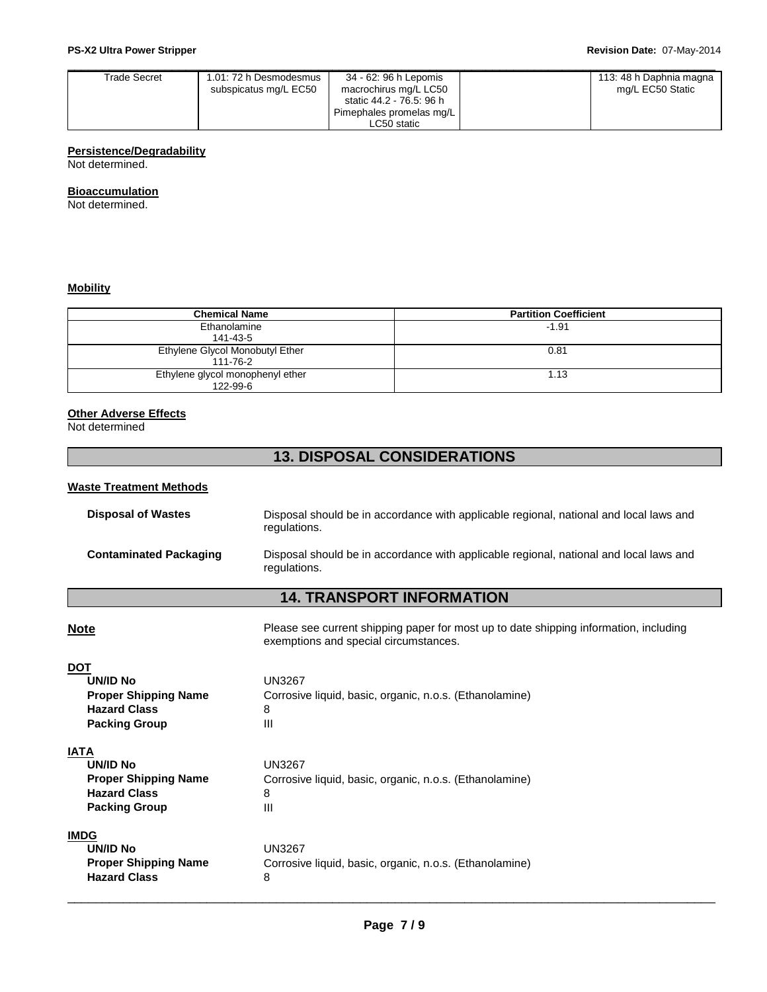| Trade Secret | 1.01: 72 h Desmodesmus<br>subspicatus mg/L EC50 | 34 - 62: 96 h Lepomis<br>macrochirus mg/L LC50 | 113: 48 h Daphnia magna<br>mg/L EC50 Static |
|--------------|-------------------------------------------------|------------------------------------------------|---------------------------------------------|
|              |                                                 | static 44.2 - 76.5: 96 h                       |                                             |
|              |                                                 | Pimephales promelas mg/L                       |                                             |
|              |                                                 | LC50 static                                    |                                             |

## **Persistence/Degradability**

Not determined.

#### **Bioaccumulation**

Not determined.

#### **Mobility**

| <b>Chemical Name</b>                         | <b>Partition Coefficient</b> |
|----------------------------------------------|------------------------------|
| Ethanolamine<br>141-43-5                     | $-1.91$                      |
| Ethylene Glycol Monobutyl Ether<br>111-76-2  | 0.81                         |
| Ethylene glycol monophenyl ether<br>122-99-6 | 1.13                         |

## **Other Adverse Effects**

Not determined

## **13. DISPOSAL CONSIDERATIONS**

#### **Waste Treatment Methods**

| <b>Disposal of Wastes</b>     | Disposal should be in accordance with applicable regional, national and local laws and<br>regulations. |
|-------------------------------|--------------------------------------------------------------------------------------------------------|
| <b>Contaminated Packaging</b> | Disposal should be in accordance with applicable regional, national and local laws and<br>regulations. |

## **14. TRANSPORT INFORMATION**

**Note Please see current shipping paper for most up to date shipping information, including** exemptions and special circumstances.

| DO <sub>1</sub>             |                                                         |
|-----------------------------|---------------------------------------------------------|
| UN/ID No                    | UN3267                                                  |
| <b>Proper Shipping Name</b> | Corrosive liquid, basic, organic, n.o.s. (Ethanolamine) |
| <b>Hazard Class</b>         | 8                                                       |
| <b>Packing Group</b>        | Ш                                                       |
| IATA                        |                                                         |
| UN/ID No                    | UN3267                                                  |
| <b>Proper Shipping Name</b> | Corrosive liquid, basic, organic, n.o.s. (Ethanolamine) |
| <b>Hazard Class</b>         | 8                                                       |
| <b>Packing Group</b>        | Ш                                                       |

#### **IMDG**

| UN/ID No                    | UN3267                                                  |
|-----------------------------|---------------------------------------------------------|
| <b>Proper Shipping Name</b> | Corrosive liquid, basic, organic, n.o.s. (Ethanolamine) |
| <b>Hazard Class</b>         |                                                         |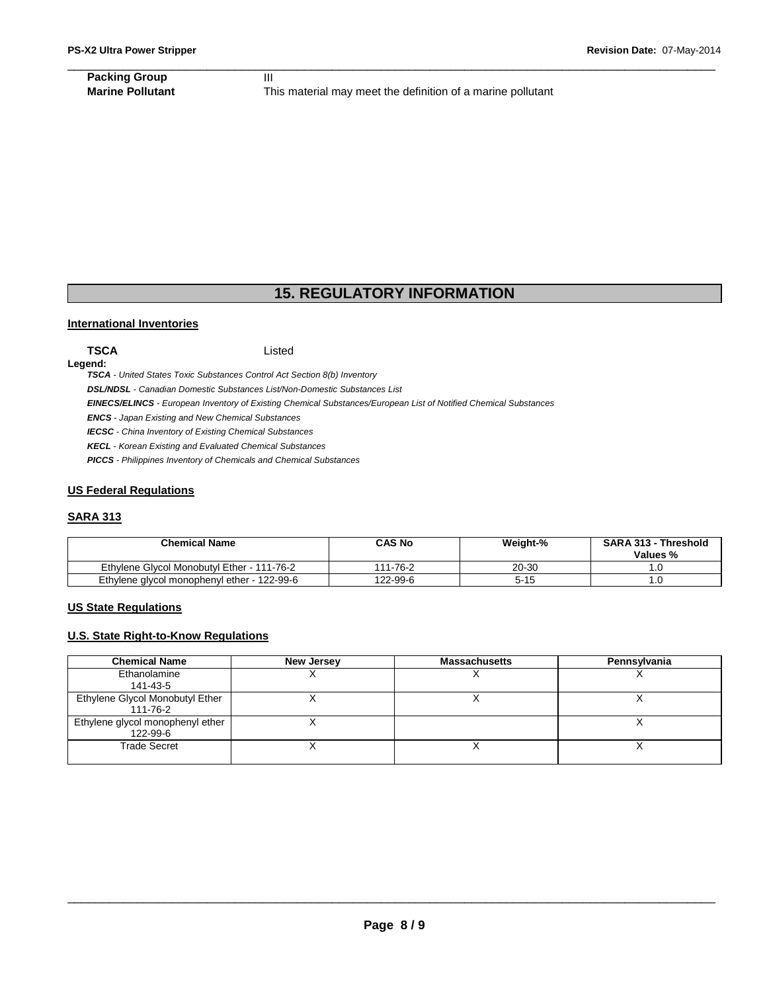## \_\_\_\_\_\_\_\_\_\_\_\_\_\_\_\_\_\_\_\_\_\_\_\_\_\_\_\_\_\_\_\_\_\_\_\_\_\_\_\_\_\_\_\_\_\_\_\_\_\_\_\_\_\_\_\_\_\_\_\_\_\_\_\_\_\_\_\_\_\_\_\_\_\_\_\_\_\_\_\_\_\_\_\_\_\_\_\_\_\_\_\_\_ **Packing Group 111**

**Marine Pollutant** This material may meet the definition of a marine pollutant

## **15. REGULATORY INFORMATION**

#### **International Inventories**

#### **TSCA** Listed

**Legend:** 

**TSCA** - United States Toxic Substances Control Act Section 8(b) Inventory

**DSL/NDSL** - Canadian Domestic Substances List/Non-Domestic Substances List

**EINECS/ELINCS** - European Inventory of Existing Chemical Substances/European List of Notified Chemical Substances

**ENCS** - Japan Existing and New Chemical Substances

**IECSC** - China Inventory of Existing Chemical Substances

**KECL** - Korean Existing and Evaluated Chemical Substances

**PICCS** - Philippines Inventory of Chemicals and Chemical Substances

#### **US Federal Regulations**

#### **SARA 313**

| <b>Chemical Name</b>                        | CAS No   | Weight-% | <b>SARA 313 - Threshold</b><br>Values % |
|---------------------------------------------|----------|----------|-----------------------------------------|
| Ethylene Givcol Monobutyl Ether - 111-76-2  | 111-76-2 | 20-30    |                                         |
| Ethylene glycol monophenyl ether - 122-99-6 | 122-99-6 | 5-15     |                                         |

#### **US State Regulations**

#### **U.S. State Right-to-Know Regulations**

| <b>Chemical Name</b>                         | <b>New Jersey</b> | <b>Massachusetts</b> | Pennsylvania |
|----------------------------------------------|-------------------|----------------------|--------------|
| Ethanolamine                                 |                   |                      |              |
| 141-43-5                                     |                   |                      |              |
| Ethylene Glycol Monobutyl Ether<br>111-76-2  |                   |                      |              |
| Ethylene glycol monophenyl ether<br>122-99-6 |                   |                      |              |
| <b>Trade Secret</b>                          |                   |                      |              |